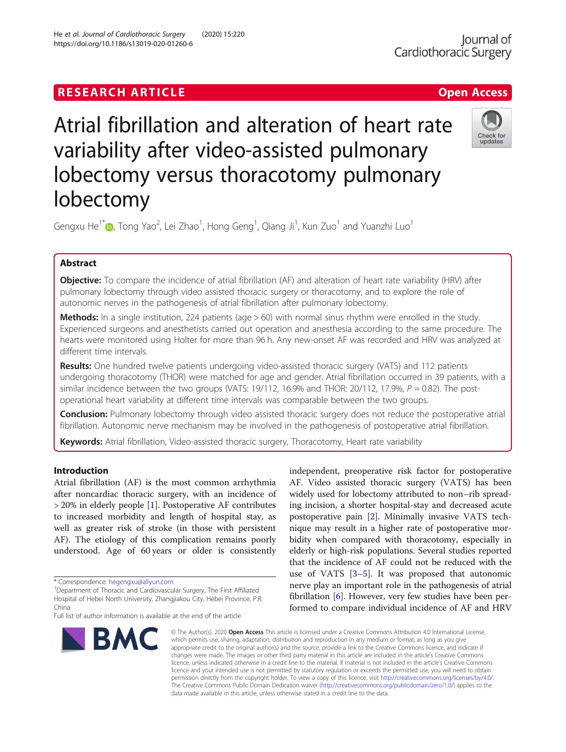# **RESEARCH ARTICLE Example 2018 12:30 The Contract of Contract ACCESS**

# Atrial fibrillation and alteration of heart rate variability after video-assisted pulmonary lobectomy versus thoracotomy pulmonary lobectomy

Gengxu He $^{1^*}$  [,](http://orcid.org/0000-0002-2389-4110) Tong Yao $^2$ , Lei Zhao $^1$ , Hong Geng $^1$ , Qiang Ji $^1$ , Kun Zuo $^1$  and Yuanzhi Luo $^1$ 

# Abstract

Objective: To compare the incidence of atrial fibrillation (AF) and alteration of heart rate variability (HRV) after pulmonary lobectomy through video assisted thoracic surgery or thoracotomy, and to explore the role of autonomic nerves in the pathogenesis of atrial fibrillation after pulmonary lobectomy.

**Methods:** In a single institution, 224 patients (age  $> 60$ ) with normal sinus rhythm were enrolled in the study. Experienced surgeons and anesthetists carried out operation and anesthesia according to the same procedure. The hearts were monitored using Holter for more than 96 h. Any new-onset AF was recorded and HRV was analyzed at different time intervals.

Results: One hundred twelve patients undergoing video-assisted thoracic surgery (VATS) and 112 patients undergoing thoracotomy (THOR) were matched for age and gender. Atrial fibrillation occurred in 39 patients, with a similar incidence between the two groups (VATS: 19/112, 16.9% and THOR: 20/112, 17.9%,  $P = 0.82$ ). The postoperational heart variability at different time intervals was comparable between the two groups.

Conclusion: Pulmonary lobectomy through video assisted thoracic surgery does not reduce the postoperative atrial fibrillation. Autonomic nerve mechanism may be involved in the pathogenesis of postoperative atrial fibrillation.

data made available in this article, unless otherwise stated in a credit line to the data.

Keywords: Atrial fibrillation, Video-assisted thoracic surgery, Thoracotomy, Heart rate variability

# Introduction

Atrial fibrillation (AF) is the most common arrhythmia after noncardiac thoracic surgery, with an incidence of > 20% in elderly people [[1\]](#page-4-0). Postoperative AF contributes to increased morbidity and length of hospital stay, as well as greater risk of stroke (in those with persistent AF). The etiology of this complication remains poorly understood. Age of 60 years or older is consistently

<sup>1</sup>Department of Thoracic and Cardiovascular Surgery, The First Affiliated Hospital of Hebei North University, Zhangjiakou City, Hebei Province, P.R. China

© The Author(s), 2020 **Open Access** This article is licensed under a Creative Commons Attribution 4.0 International License, which permits use, sharing, adaptation, distribution and reproduction in any medium or format, as long as you give appropriate credit to the original author(s) and the source, provide a link to the Creative Commons licence, and indicate if changes were made. The images or other third party material in this article are included in the article's Creative Commons licence, unless indicated otherwise in a credit line to the material. If material is not included in the article's Creative Commons

**BMC** 

He et al. Journal of Cardiothoracic Surgery (2020) 15:220 https://doi.org/10.1186/s13019-020-01260-6

> licence and your intended use is not permitted by statutory regulation or exceeds the permitted use, you will need to obtain permission directly from the copyright holder. To view a copy of this licence, visit [http://creativecommons.org/licenses/by/4.0/.](http://creativecommons.org/licenses/by/4.0/) The Creative Commons Public Domain Dedication waiver [\(http://creativecommons.org/publicdomain/zero/1.0/](http://creativecommons.org/publicdomain/zero/1.0/)) applies to the

widely used for lobectomy attributed to non–rib spreading incision, a shorter hospital-stay and decreased acute postoperative pain [[2\]](#page-4-0). Minimally invasive VATS technique may result in a higher rate of postoperative morbidity when compared with thoracotomy, especially in elderly or high-risk populations. Several studies reported that the incidence of AF could not be reduced with the use of VATS  $[3-5]$  $[3-5]$  $[3-5]$ . It was proposed that autonomic nerve play an important role in the pathogenesis of atrial fibrillation [[6](#page-4-0)]. However, very few studies have been performed to compare individual incidence of AF and HRV

independent, preoperative risk factor for postoperative AF. Video assisted thoracic surgery (VATS) has been

lournal of Cardiothoracic Surgery





<sup>\*</sup> Correspondence: [hegengxu@aliyun.com](mailto:hegengxu@aliyun.com) <sup>1</sup>

Full list of author information is available at the end of the article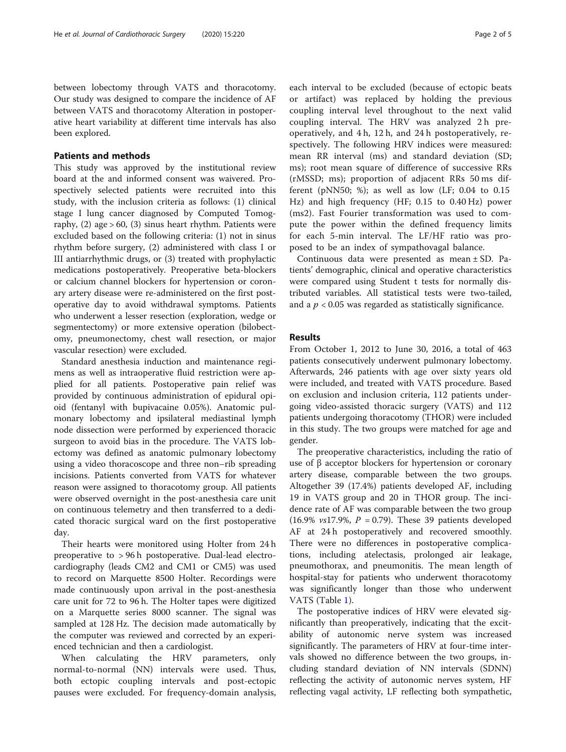between lobectomy through VATS and thoracotomy. Our study was designed to compare the incidence of AF between VATS and thoracotomy Alteration in postoperative heart variability at different time intervals has also been explored.

# Patients and methods

This study was approved by the institutional review board at the and informed consent was waivered. Prospectively selected patients were recruited into this study, with the inclusion criteria as follows: (1) clinical stage I lung cancer diagnosed by Computed Tomography,  $(2)$  age  $> 60$ ,  $(3)$  sinus heart rhythm. Patients were excluded based on the following criteria: (1) not in sinus rhythm before surgery, (2) administered with class I or III antiarrhythmic drugs, or (3) treated with prophylactic medications postoperatively. Preoperative beta-blockers or calcium channel blockers for hypertension or coronary artery disease were re-administered on the first postoperative day to avoid withdrawal symptoms. Patients who underwent a lesser resection (exploration, wedge or segmentectomy) or more extensive operation (bilobectomy, pneumonectomy, chest wall resection, or major vascular resection) were excluded.

Standard anesthesia induction and maintenance regimens as well as intraoperative fluid restriction were applied for all patients. Postoperative pain relief was provided by continuous administration of epidural opioid (fentanyl with bupivacaine 0.05%). Anatomic pulmonary lobectomy and ipsilateral mediastinal lymph node dissection were performed by experienced thoracic surgeon to avoid bias in the procedure. The VATS lobectomy was defined as anatomic pulmonary lobectomy using a video thoracoscope and three non–rib spreading incisions. Patients converted from VATS for whatever reason were assigned to thoracotomy group. All patients were observed overnight in the post-anesthesia care unit on continuous telemetry and then transferred to a dedicated thoracic surgical ward on the first postoperative day.

Their hearts were monitored using Holter from 24 h preoperative to > 96 h postoperative. Dual-lead electrocardiography (leads CM2 and CM1 or CM5) was used to record on Marquette 8500 Holter. Recordings were made continuously upon arrival in the post-anesthesia care unit for 72 to 96 h. The Holter tapes were digitized on a Marquette series 8000 scanner. The signal was sampled at 128 Hz. The decision made automatically by the computer was reviewed and corrected by an experienced technician and then a cardiologist.

When calculating the HRV parameters, only normal-to-normal (NN) intervals were used. Thus, both ectopic coupling intervals and post-ectopic pauses were excluded. For frequency-domain analysis,

each interval to be excluded (because of ectopic beats or artifact) was replaced by holding the previous coupling interval level throughout to the next valid coupling interval. The HRV was analyzed 2 h preoperatively, and 4 h, 12 h, and 24 h postoperatively, respectively. The following HRV indices were measured: mean RR interval (ms) and standard deviation (SD; ms); root mean square of difference of successive RRs (rMSSD; ms); proportion of adjacent RRs 50 ms different (pNN50; %); as well as low (LF;  $0.04$  to  $0.15$ Hz) and high frequency (HF; 0.15 to 0.40 Hz) power (ms2). Fast Fourier transformation was used to compute the power within the defined frequency limits for each 5-min interval. The LF/HF ratio was proposed to be an index of sympathovagal balance.

Continuous data were presented as mean ± SD. Patients' demographic, clinical and operative characteristics were compared using Student t tests for normally distributed variables. All statistical tests were two-tailed, and a  $p < 0.05$  was regarded as statistically significance.

## Results

From October 1, 2012 to June 30, 2016, a total of 463 patients consecutively underwent pulmonary lobectomy. Afterwards, 246 patients with age over sixty years old were included, and treated with VATS procedure. Based on exclusion and inclusion criteria, 112 patients undergoing video-assisted thoracic surgery (VATS) and 112 patients undergoing thoracotomy (THOR) were included in this study. The two groups were matched for age and gender.

The preoperative characteristics, including the ratio of use of β acceptor blockers for hypertension or coronary artery disease, comparable between the two groups. Altogether 39 (17.4%) patients developed AF, including 19 in VATS group and 20 in THOR group. The incidence rate of AF was comparable between the two group (16.9%  $v s17.9$ %,  $P = 0.79$ ). These 39 patients developed AF at 24 h postoperatively and recovered smoothly. There were no differences in postoperative complications, including atelectasis, prolonged air leakage, pneumothorax, and pneumonitis. The mean length of hospital-stay for patients who underwent thoracotomy was significantly longer than those who underwent VATS (Table [1\)](#page-2-0).

The postoperative indices of HRV were elevated significantly than preoperatively, indicating that the excitability of autonomic nerve system was increased significantly. The parameters of HRV at four-time intervals showed no difference between the two groups, including standard deviation of NN intervals (SDNN) reflecting the activity of autonomic nerves system, HF reflecting vagal activity, LF reflecting both sympathetic,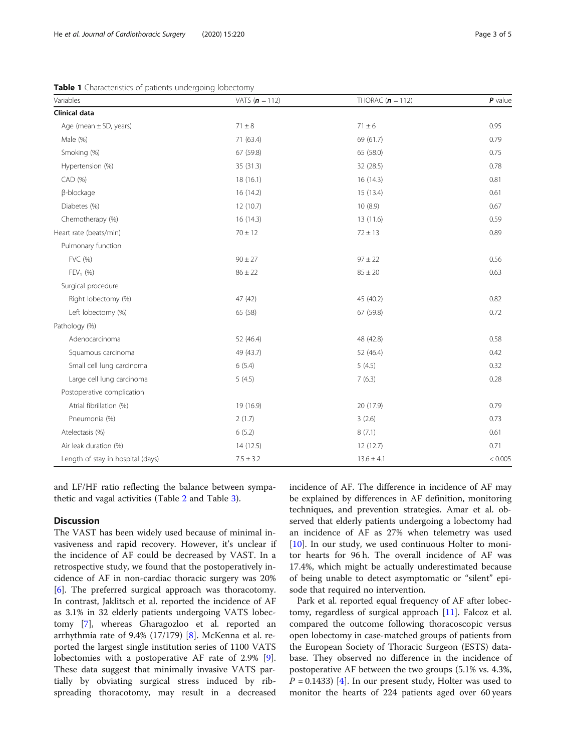<span id="page-2-0"></span>Table 1 Characteristics of patients undergoing lobectomy

| Variables                         | VATS $(n = 112)$ | THORAC $(n = 112)$ | $P$ value |
|-----------------------------------|------------------|--------------------|-----------|
| Clinical data                     |                  |                    |           |
| Age (mean $\pm$ SD, years)        | $71 \pm 8$       | $71 \pm 6$         | 0.95      |
| Male (%)                          | 71 (63.4)        | 69 (61.7)          | 0.79      |
| Smoking (%)                       | 67 (59.8)        | 65 (58.0)          | 0.75      |
| Hypertension (%)                  | 35 (31.3)        | 32 (28.5)          | 0.78      |
| CAD (%)                           | 18(16.1)         | 16(14.3)           | 0.81      |
| β-blockage                        | 16 (14.2)        | 15 (13.4)          | 0.61      |
| Diabetes (%)                      | 12 (10.7)        | 10(8.9)            | 0.67      |
| Chemotherapy (%)                  | 16(14.3)         | 13 (11.6)          | 0.59      |
| Heart rate (beats/min)            | $70 \pm 12$      | $72 \pm 13$        | 0.89      |
| Pulmonary function                |                  |                    |           |
| FVC (%)                           | $90 \pm 27$      | $97 \pm 22$        | 0.56      |
| $FEV_1 (%)$                       | $86 \pm 22$      | $85 \pm 20$        | 0.63      |
| Surgical procedure                |                  |                    |           |
| Right lobectomy (%)               | 47 (42)          | 45 (40.2)          | 0.82      |
| Left lobectomy (%)                | 65 (58)          | 67 (59.8)          | 0.72      |
| Pathology (%)                     |                  |                    |           |
| Adenocarcinoma                    | 52 (46.4)        | 48 (42.8)          | 0.58      |
| Squamous carcinoma                | 49 (43.7)        | 52 (46.4)          | 0.42      |
| Small cell lung carcinoma         | 6(5.4)           | 5(4.5)             | 0.32      |
| Large cell lung carcinoma         | 5(4.5)           | 7(6.3)             | 0.28      |
| Postoperative complication        |                  |                    |           |
| Atrial fibrillation (%)           | 19 (16.9)        | 20 (17.9)          | 0.79      |
| Pneumonia (%)                     | 2(1.7)           | 3(2.6)             | 0.73      |
| Atelectasis (%)                   | 6(5.2)           | 8(7.1)             | 0.61      |
| Air leak duration (%)             | 14(12.5)         | 12(12.7)           | 0.71      |
| Length of stay in hospital (days) | $7.5 \pm 3.2$    | $13.6 \pm 4.1$     | < 0.005   |

and LF/HF ratio reflecting the balance between sympathetic and vagal activities (Table [2](#page-3-0) and Table [3](#page-3-0)).

# **Discussion**

The VAST has been widely used because of minimal invasiveness and rapid recovery. However, it's unclear if the incidence of AF could be decreased by VAST. In a retrospective study, we found that the postoperatively incidence of AF in non-cardiac thoracic surgery was 20% [[6\]](#page-4-0). The preferred surgical approach was thoracotomy. In contrast, Jaklitsch et al. reported the incidence of AF as 3.1% in 32 elderly patients undergoing VATS lobectomy [\[7](#page-4-0)], whereas Gharagozloo et al. reported an arrhythmia rate of 9.4% (17/179) [[8\]](#page-4-0). McKenna et al. reported the largest single institution series of 1100 VATS lobectomies with a postoperative AF rate of 2.9% [\[9](#page-4-0)]. These data suggest that minimally invasive VATS partially by obviating surgical stress induced by ribspreading thoracotomy, may result in a decreased incidence of AF. The difference in incidence of AF may be explained by differences in AF definition, monitoring techniques, and prevention strategies. Amar et al. observed that elderly patients undergoing a lobectomy had an incidence of AF as 27% when telemetry was used [[10\]](#page-4-0). In our study, we used continuous Holter to monitor hearts for 96 h. The overall incidence of AF was 17.4%, which might be actually underestimated because of being unable to detect asymptomatic or "silent" episode that required no intervention.

Park et al. reported equal frequency of AF after lobectomy, regardless of surgical approach [[11\]](#page-4-0). Falcoz et al. compared the outcome following thoracoscopic versus open lobectomy in case-matched groups of patients from the European Society of Thoracic Surgeon (ESTS) database. They observed no difference in the incidence of postoperative AF between the two groups (5.1% vs. 4.3%,  $P = 0.1433$  [\[4](#page-4-0)]. In our present study, Holter was used to monitor the hearts of 224 patients aged over 60 years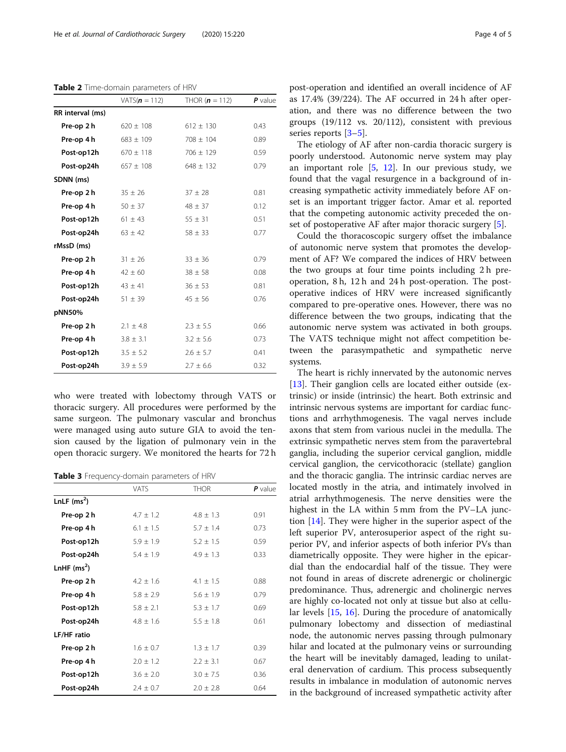<span id="page-3-0"></span>Table 2 Time-domain parameters of HRV

|                  | $VATS(n = 112)$ | THOR ( $n = 112$ ) | $P$ value |
|------------------|-----------------|--------------------|-----------|
| RR interval (ms) |                 |                    |           |
| Pre-op 2 h       | $620 \pm 108$   | $612 \pm 130$      | 0.43      |
| Pre-op 4 h       | $683 \pm 109$   | $708 \pm 104$      | 0.89      |
| Post-op12h       | $670 \pm 118$   | $706 \pm 129$      | 0.59      |
| Post-op24h       | $657 \pm 108$   | $648 \pm 132$      | 0.79      |
| SDNN (ms)        |                 |                    |           |
| Pre-op 2 h       | $35 \pm 26$     | $37 \pm 28$        | 0.81      |
| Pre-op 4 h       | $50 \pm 37$     | $48 \pm 37$        | 0.12      |
| Post-op12h       | $61 \pm 43$     | $55 \pm 31$        | 0.51      |
| Post-op24h       | $63 \pm 42$     | $58 \pm 33$        | 0.77      |
| rMssD (ms)       |                 |                    |           |
| Pre-op 2 h       | $31 \pm 26$     | $33 \pm 36$        | 0.79      |
| Pre-op 4 h       | $42 \pm 60$     | $38 \pm 58$        | 0.08      |
| Post-op12h       | $43 \pm 41$     | $36 \pm 53$        | 0.81      |
| Post-op24h       | $51 \pm 39$     | $45 \pm 56$        | 0.76      |
| pNN50%           |                 |                    |           |
| Pre-op 2 h       | $2.1 \pm 4.8$   | $2.3 \pm 5.5$      | 0.66      |
| Pre-op 4 h       | $3.8 \pm 3.1$   | $3.2 \pm 5.6$      | 0.73      |
| Post-op12h       | $3.5 \pm 5.2$   | $2.6 \pm 5.7$      | 0.41      |
| Post-op24h       | $3.9 \pm 5.9$   | $2.7 \pm 6.6$      | 0.32      |

who were treated with lobectomy through VATS or thoracic surgery. All procedures were performed by the same surgeon. The pulmonary vascular and bronchus were managed using auto suture GIA to avoid the tension caused by the ligation of pulmonary vein in the open thoracic surgery. We monitored the hearts for 72 h

Table 3 Frequency-domain parameters of HRV

|                    | <b>VATS</b>   | <b>THOR</b>   | $P$ value |
|--------------------|---------------|---------------|-----------|
| LnLF $(ms^2)$      |               |               |           |
| Pre-op 2 h         | $4.7 \pm 1.2$ | $4.8 + 1.3$   | 0.91      |
| Pre-op 4 h         | $6.1 + 1.5$   | $5.7 + 1.4$   | 0.73      |
| Post-op12h         | $5.9 \pm 1.9$ | $5.2 \pm 1.5$ | 0.59      |
| Post-op24h         | $5.4 \pm 1.9$ | $4.9 + 1.3$   | 0.33      |
| LnHF $(ms^2)$      |               |               |           |
| Pre-op 2 h         | $4.2 + 1.6$   | $4.1 + 1.5$   | 0.88      |
| Pre-op 4 h         | $5.8 + 2.9$   | $5.6 + 1.9$   | 0.79      |
| Post-op12h         | $5.8 + 2.1$   | $5.3 + 1.7$   | 0.69      |
| Post-op24h         | $4.8 + 1.6$   | $5.5 \pm 1.8$ | 0.61      |
| <b>LF/HF</b> ratio |               |               |           |
| Pre-op 2 h         | $1.6 \pm 0.7$ | $1.3 + 1.7$   | 0.39      |
| Pre-op 4 h         | $2.0 \pm 1.2$ | $2.2 + 3.1$   | 0.67      |
| Post-op12h         | $3.6 \pm 2.0$ | $3.0 + 7.5$   | 0.36      |
| Post-op24h         | $2.4 \pm 0.7$ | $2.0 + 2.8$   | 0.64      |

post-operation and identified an overall incidence of AF as 17.4% (39/224). The AF occurred in 24 h after operation, and there was no difference between the two groups (19/112 vs. 20/112), consistent with previous series reports [\[3](#page-4-0)–[5](#page-4-0)].

The etiology of AF after non-cardia thoracic surgery is poorly understood. Autonomic nerve system may play an important role [[5,](#page-4-0) [12](#page-4-0)]. In our previous study, we found that the vagal resurgence in a background of increasing sympathetic activity immediately before AF onset is an important trigger factor. Amar et al. reported that the competing autonomic activity preceded the onset of postoperative AF after major thoracic surgery [[5\]](#page-4-0).

Could the thoracoscopic surgery offset the imbalance of autonomic nerve system that promotes the development of AF? We compared the indices of HRV between the two groups at four time points including 2 h preoperation, 8 h, 12 h and 24 h post-operation. The postoperative indices of HRV were increased significantly compared to pre-operative ones. However, there was no difference between the two groups, indicating that the autonomic nerve system was activated in both groups. The VATS technique might not affect competition between the parasympathetic and sympathetic nerve systems.

The heart is richly innervated by the autonomic nerves [[13\]](#page-4-0). Their ganglion cells are located either outside (extrinsic) or inside (intrinsic) the heart. Both extrinsic and intrinsic nervous systems are important for cardiac functions and arrhythmogenesis. The vagal nerves include axons that stem from various nuclei in the medulla. The extrinsic sympathetic nerves stem from the paravertebral ganglia, including the superior cervical ganglion, middle cervical ganglion, the cervicothoracic (stellate) ganglion and the thoracic ganglia. The intrinsic cardiac nerves are located mostly in the atria, and intimately involved in atrial arrhythmogenesis. The nerve densities were the highest in the LA within 5 mm from the PV–LA junction [\[14](#page-4-0)]. They were higher in the superior aspect of the left superior PV, anterosuperior aspect of the right superior PV, and inferior aspects of both inferior PVs than diametrically opposite. They were higher in the epicardial than the endocardial half of the tissue. They were not found in areas of discrete adrenergic or cholinergic predominance. Thus, adrenergic and cholinergic nerves are highly co-located not only at tissue but also at cellular levels [[15,](#page-4-0) [16](#page-4-0)]. During the procedure of anatomically pulmonary lobectomy and dissection of mediastinal node, the autonomic nerves passing through pulmonary hilar and located at the pulmonary veins or surrounding the heart will be inevitably damaged, leading to unilateral denervation of cardium. This process subsequently results in imbalance in modulation of autonomic nerves in the background of increased sympathetic activity after